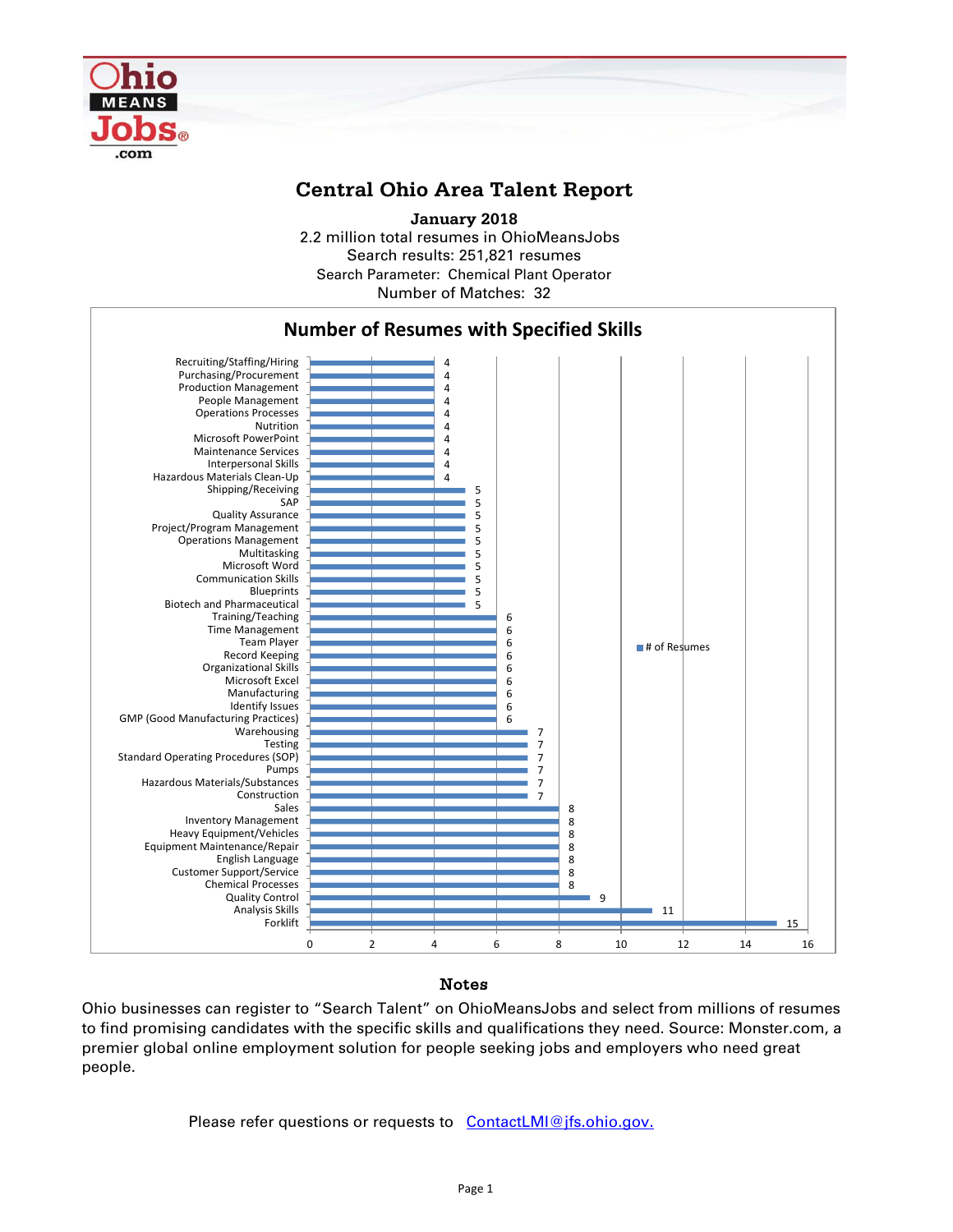

## **Central Ohio Area Talent Report**

2.2 million total resumes in OhioMeansJobs Search results: 251,821 resumes Number of Matches: 32 **January 2018** Search Parameter: Chemical Plant Operator



## Notes

Ohio businesses can register to "Search Talent" on OhioMeansJobs and select from millions of resumes to find promising candidates with the specific skills and qualifications they need. Source: Monster.com, a premier global online employment solution for people seeking jobs and employers who need great people.

Please refer questions or requests to [ContactLMI@jfs.ohio.gov.](mailto:ContactLMI@jfs.ohio.gov.)